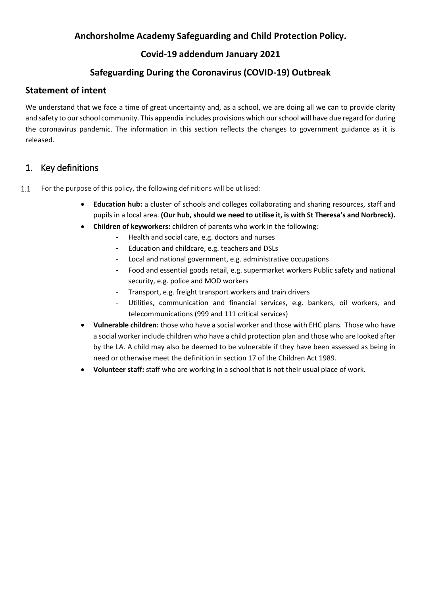### **Anchorsholme Academy Safeguarding and Child Protection Policy.**

# **Covid-19 addendum January 2021**

## **Safeguarding During the Coronavirus (COVID-19) Outbreak**

#### **Statement of intent**

We understand that we face a time of great uncertainty and, as a school, we are doing all we can to provide clarity and safety to our school community. This appendix includes provisions which our school will have due regard for during the coronavirus pandemic. The information in this section reflects the changes to government guidance as it is released.

### 1. Key definitions

- $1.1$ For the purpose of this policy, the following definitions will be utilised:
	- **Education hub:** a cluster of schools and colleges collaborating and sharing resources, staff and pupils in a local area. **(Our hub, should we need to utilise it, is with St Theresa's and Norbreck).**
	- **Children of keyworkers:** children of parents who work in the following:
		- Health and social care, e.g. doctors and nurses
		- Education and childcare, e.g. teachers and DSLs
		- Local and national government, e.g. administrative occupations
		- Food and essential goods retail, e.g. supermarket workers Public safety and national security, e.g. police and MOD workers
		- Transport, e.g. freight transport workers and train drivers
		- Utilities, communication and financial services, e.g. bankers, oil workers, and telecommunications (999 and 111 critical services)
	- **Vulnerable children:** those who have a social worker and those with EHC plans. Those who have a social worker include children who have a child protection plan and those who are looked after by the LA. A child may also be deemed to be vulnerable if they have been assessed as being in need or otherwise meet the definition in section 17 of the Children Act 1989.
	- **Volunteer staff:** staff who are working in a school that is not their usual place of work.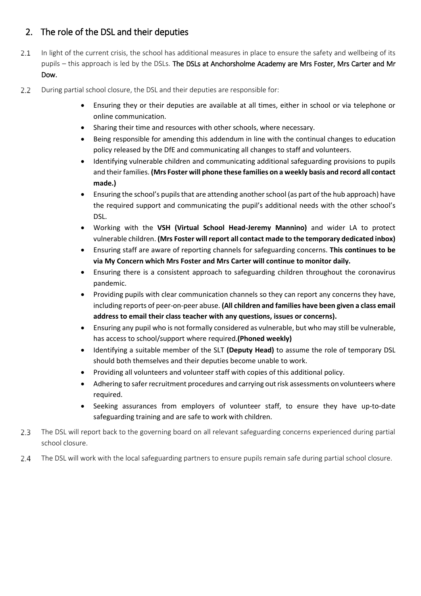# 2. The role of the DSL and their deputies

- $2.1$ In light of the current crisis, the school has additional measures in place to ensure the safety and wellbeing of its pupils – this approach is led by the DSLs. The DSLs at Anchorsholme Academy are Mrs Foster, Mrs Carter and Mr Dow.
- $2.2$ During partial school closure, the DSL and their deputies are responsible for:
	- Ensuring they or their deputies are available at all times, either in school or via telephone or online communication.
	- Sharing their time and resources with other schools, where necessary.
	- Being responsible for amending this addendum in line with the continual changes to education policy released by the DfE and communicating all changes to staff and volunteers.
	- Identifying vulnerable children and communicating additional safeguarding provisions to pupils and their families. **(Mrs Foster will phone these families on a weekly basis and record all contact made.)**
	- Ensuring the school's pupils that are attending another school (as part of the hub approach) have the required support and communicating the pupil's additional needs with the other school's DSL.
	- Working with the **VSH (Virtual School Head-Jeremy Mannino)** and wider LA to protect vulnerable children. **(Mrs Foster will report all contact made to the temporary dedicated inbox)**
	- Ensuring staff are aware of reporting channels for safeguarding concerns. **This continues to be via My Concern which Mrs Foster and Mrs Carter will continue to monitor daily.**
	- Ensuring there is a consistent approach to safeguarding children throughout the coronavirus pandemic.
	- Providing pupils with clear communication channels so they can report any concerns they have, including reports of peer-on-peer abuse. **(All children and families have been given a class email address to email their class teacher with any questions, issues or concerns).**
	- Ensuring any pupil who is not formally considered as vulnerable, but who may still be vulnerable, has access to school/support where required.**(Phoned weekly)**
	- Identifying a suitable member of the SLT **(Deputy Head)** to assume the role of temporary DSL should both themselves and their deputies become unable to work.
	- Providing all volunteers and volunteer staff with copies of this additional policy.
	- Adhering to safer recruitment procedures and carrying out risk assessments on volunteers where required.
	- Seeking assurances from employers of volunteer staff, to ensure they have up-to-date safeguarding training and are safe to work with children.
- $2.3 -$ The DSL will report back to the governing board on all relevant safeguarding concerns experienced during partial school closure.
- The DSL will work with the local safeguarding partners to ensure pupils remain safe during partial school closure. 2.4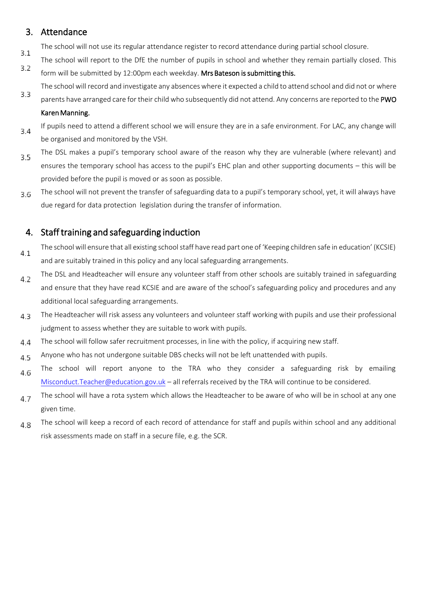### 3. Attendance

- The school will not use its regular attendance register to record attendance during partial school closure.  $3.1$
- The school will report to the DfE the number of pupils in school and whether they remain partially closed. This  $3.2$ form will be submitted by 12:00pm each weekday. Mrs Bateson is submitting this.
- The school will record and investigate any absences where it expected a child to attend school and did not or where
- 3.3 parents have arranged care for their child who subsequently did not attend. Any concerns are reported to the PWO Karen Manning.
- If pupils need to attend a different school we will ensure they are in a safe environment. For LAC, any change will  $3.4$ be organised and monitored by the VSH.
- The DSL makes a pupil's temporary school aware of the reason why they are vulnerable (where relevant) and 3.5 ensures the temporary school has access to the pupil's EHC plan and other supporting documents – this will be provided before the pupil is moved or as soon as possible.
- The school will not prevent the transfer of safeguarding data to a pupil's temporary school, yet, it will always have 3.6 due regard for data protection legislation during the transfer of information.

# 4. Staff training and safeguarding induction

- The school will ensure that all existing school staff have read part one of 'Keeping children safe in education' (KCSIE)  $4.1$ and are suitably trained in this policy and any local safeguarding arrangements.
- The DSL and Headteacher will ensure any volunteer staff from other schools are suitably trained in safeguarding 4.2 and ensure that they have read KCSIE and are aware of the school's safeguarding policy and procedures and any additional local safeguarding arrangements.
- The Headteacher will risk assess any volunteers and volunteer staff working with pupils and use their professional 4.3 judgment to assess whether they are suitable to work with pupils.
- The school will follow safer recruitment processes, in line with the policy, if acquiring new staff.  $4.4$
- Anyone who has not undergone suitable DBS checks will not be left unattended with pupils. 4.5
- The school will report anyone to the TRA who they consider a safeguarding risk by emailing 4.6 [Misconduct.Teacher@education.gov.uk](mailto:Misconduct.Teacher@education.gov.uk) – all referrals received by the TRA will continue to be considered.
- The school will have a rota system which allows the Headteacher to be aware of who will be in school at any one 4.7 given time.
- The school will keep a record of each record of attendance for staff and pupils within school and any additional 4.8 risk assessments made on staff in a secure file, e.g. the SCR.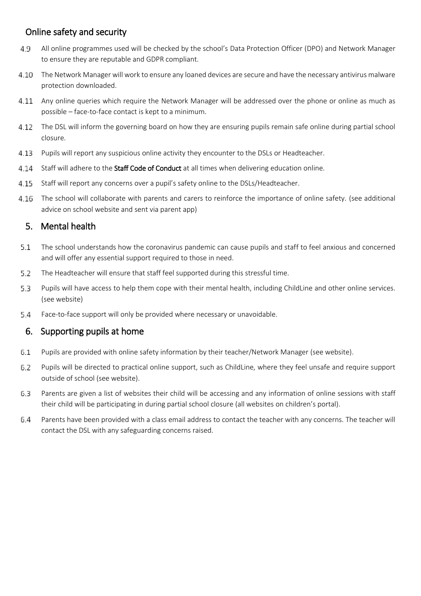## Online safety and security

- 4.9 All online programmes used will be checked by the school's Data Protection Officer (DPO) and Network Manager to ensure they are reputable and GDPR compliant.
- 4.10 The Network Manager will work to ensure any loaned devices are secure and have the necessary antivirus malware protection downloaded.
- 4.11 Any online queries which require the Network Manager will be addressed over the phone or online as much as possible – face-to-face contact is kept to a minimum.
- $4.12$ The DSL will inform the governing board on how they are ensuring pupils remain safe online during partial school closure.
- $4.13$ Pupils will report any suspicious online activity they encounter to the DSLs or Headteacher.
- $4.14$ Staff will adhere to the Staff Code of Conduct at all times when delivering education online.
- Staff will report any concerns over a pupil's safety online to the DSLs/Headteacher.  $4.15$
- 4.16 The school will collaborate with parents and carers to reinforce the importance of online safety. (see additional advice on school website and sent via parent app)

### 5. Mental health

- $5.1$ The school understands how the coronavirus pandemic can cause pupils and staff to feel anxious and concerned and will offer any essential support required to those in need.
- The Headteacher will ensure that staff feel supported during this stressful time. 5.2
- 5.3 Pupils will have access to help them cope with their mental health, including ChildLine and other online services. (see website)
- Face-to-face support will only be provided where necessary or unavoidable.  $5.4$

### 6. Supporting pupils at home

- $6.1$ Pupils are provided with online safety information by their teacher/Network Manager (see website).
- 6.2 Pupils will be directed to practical online support, such as ChildLine, where they feel unsafe and require support outside of school (see website).
- 6.3 Parents are given a list of websites their child will be accessing and any information of online sessions with staff their child will be participating in during partial school closure (all websites on children's portal).
- 6.4 Parents have been provided with a class email address to contact the teacher with any concerns. The teacher will contact the DSL with any safeguarding concerns raised.